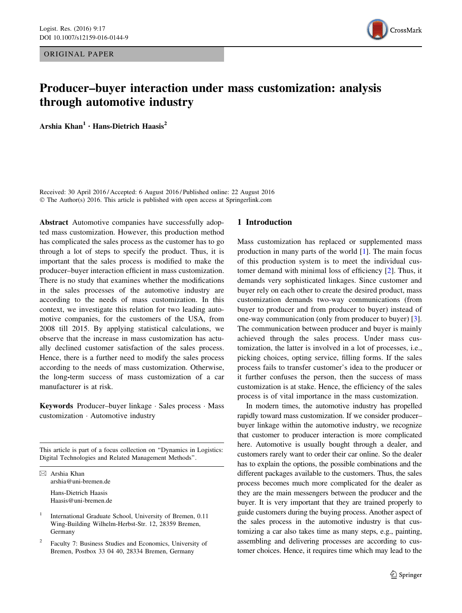ORIGINAL PAPER



# Producer–buyer interaction under mass customization: analysis through automotive industry

Arshia  $Khan<sup>1</sup> \cdot Hans-Dietrich Haasis<sup>2</sup>$ 

Received: 30 April 2016 / Accepted: 6 August 2016 / Published online: 22 August 2016 © The Author(s) 2016. This article is published with open access at Springerlink.com

Abstract Automotive companies have successfully adopted mass customization. However, this production method has complicated the sales process as the customer has to go through a lot of steps to specify the product. Thus, it is important that the sales process is modified to make the producer–buyer interaction efficient in mass customization. There is no study that examines whether the modifications in the sales processes of the automotive industry are according to the needs of mass customization. In this context, we investigate this relation for two leading automotive companies, for the customers of the USA, from 2008 till 2015. By applying statistical calculations, we observe that the increase in mass customization has actually declined customer satisfaction of the sales process. Hence, there is a further need to modify the sales process according to the needs of mass customization. Otherwise, the long-term success of mass customization of a car manufacturer is at risk.

Keywords Producer–buyer linkage - Sales process - Mass customization - Automotive industry

This article is part of a focus collection on ''Dynamics in Logistics: Digital Technologies and Related Management Methods''.

 $\boxtimes$  Arshia Khan arshia@uni-bremen.de

> Hans-Dietrich Haasis Haasis@uni-bremen.de

- <sup>1</sup> International Graduate School, University of Bremen, 0.11 Wing-Building Wilhelm-Herbst-Str. 12, 28359 Bremen, Germany
- <sup>2</sup> Faculty 7: Business Studies and Economics, University of Bremen, Postbox 33 04 40, 28334 Bremen, Germany

# 1 Introduction

Mass customization has replaced or supplemented mass production in many parts of the world [\[1](#page-5-0)]. The main focus of this production system is to meet the individual customer demand with minimal loss of efficiency [[2\]](#page-5-0). Thus, it demands very sophisticated linkages. Since customer and buyer rely on each other to create the desired product, mass customization demands two-way communications (from buyer to producer and from producer to buyer) instead of one-way communication (only from producer to buyer) [\[3](#page-5-0)]. The communication between producer and buyer is mainly achieved through the sales process. Under mass customization, the latter is involved in a lot of processes, i.e., picking choices, opting service, filling forms. If the sales process fails to transfer customer's idea to the producer or it further confuses the person, then the success of mass customization is at stake. Hence, the efficiency of the sales process is of vital importance in the mass customization.

In modern times, the automotive industry has propelled rapidly toward mass customization. If we consider producer– buyer linkage within the automotive industry, we recognize that customer to producer interaction is more complicated here. Automotive is usually bought through a dealer, and customers rarely want to order their car online. So the dealer has to explain the options, the possible combinations and the different packages available to the customers. Thus, the sales process becomes much more complicated for the dealer as they are the main messengers between the producer and the buyer. It is very important that they are trained properly to guide customers during the buying process. Another aspect of the sales process in the automotive industry is that customizing a car also takes time as many steps, e.g., painting, assembling and delivering processes are according to customer choices. Hence, it requires time which may lead to the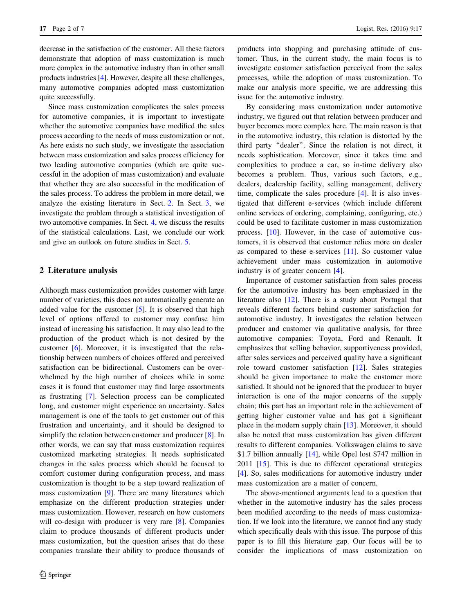decrease in the satisfaction of the customer. All these factors demonstrate that adoption of mass customization is much more complex in the automotive industry than in other small products industries [\[4](#page-5-0)]. However, despite all these challenges, many automotive companies adopted mass customization quite successfully.

Since mass customization complicates the sales process for automotive companies, it is important to investigate whether the automotive companies have modified the sales process according to the needs of mass customization or not. As here exists no such study, we investigate the association between mass customization and sales process efficiency for two leading automotive companies (which are quite successful in the adoption of mass customization) and evaluate that whether they are also successful in the modification of the sales process. To address the problem in more detail, we analyze the existing literature in Sect. 2. In Sect. [3,](#page-2-0) we investigate the problem through a statistical investigation of two automotive companies. In Sect. [4,](#page-3-0) we discuss the results of the statistical calculations. Last, we conclude our work and give an outlook on future studies in Sect. [5.](#page-4-0)

# 2 Literature analysis

Although mass customization provides customer with large number of varieties, this does not automatically generate an added value for the customer [[5\]](#page-5-0). It is observed that high level of options offered to customer may confuse him instead of increasing his satisfaction. It may also lead to the production of the product which is not desired by the customer [[6\]](#page-5-0). Moreover, it is investigated that the relationship between numbers of choices offered and perceived satisfaction can be bidirectional. Customers can be overwhelmed by the high number of choices while in some cases it is found that customer may find large assortments as frustrating [\[7](#page-5-0)]. Selection process can be complicated long, and customer might experience an uncertainty. Sales management is one of the tools to get customer out of this frustration and uncertainty, and it should be designed to simplify the relation between customer and producer [[8\]](#page-5-0). In other words, we can say that mass customization requires customized marketing strategies. It needs sophisticated changes in the sales process which should be focused to comfort customer during configuration process, and mass customization is thought to be a step toward realization of mass customization [[9\]](#page-5-0). There are many literatures which emphasize on the different production strategies under mass customization. However, research on how customers will co-design with producer is very rare [\[8](#page-5-0)]. Companies claim to produce thousands of different products under mass customization, but the question arises that do these companies translate their ability to produce thousands of products into shopping and purchasing attitude of customer. Thus, in the current study, the main focus is to investigate customer satisfaction perceived from the sales processes, while the adoption of mass customization. To make our analysis more specific, we are addressing this issue for the automotive industry.

By considering mass customization under automotive industry, we figured out that relation between producer and buyer becomes more complex here. The main reason is that in the automotive industry, this relation is distorted by the third party ''dealer''. Since the relation is not direct, it needs sophistication. Moreover, since it takes time and complexities to produce a car, so in-time delivery also becomes a problem. Thus, various such factors, e.g., dealers, dealership facility, selling management, delivery time, complicate the sales procedure [[4\]](#page-5-0). It is also investigated that different e-services (which include different online services of ordering, complaining, configuring, etc.) could be used to facilitate customer in mass customization process. [[10\]](#page-5-0). However, in the case of automotive customers, it is observed that customer relies more on dealer as compared to these e-services [[11\]](#page-5-0). So customer value achievement under mass customization in automotive industry is of greater concern [\[4](#page-5-0)].

Importance of customer satisfaction from sales process for the automotive industry has been emphasized in the literature also [[12\]](#page-5-0). There is a study about Portugal that reveals different factors behind customer satisfaction for automotive industry. It investigates the relation between producer and customer via qualitative analysis, for three automotive companies: Toyota, Ford and Renault. It emphasizes that selling behavior, supportiveness provided, after sales services and perceived quality have a significant role toward customer satisfaction [\[12](#page-5-0)]. Sales strategies should be given importance to make the customer more satisfied. It should not be ignored that the producer to buyer interaction is one of the major concerns of the supply chain; this part has an important role in the achievement of getting higher customer value and has got a significant place in the modern supply chain [\[13](#page-5-0)]. Moreover, it should also be noted that mass customization has given different results to different companies. Volkswagen claims to save \$1.7 billion annually [[14\]](#page-6-0), while Opel lost \$747 million in 2011 [[15\]](#page-6-0). This is due to different operational strategies [\[4](#page-5-0)]. So, sales modifications for automotive industry under mass customization are a matter of concern.

The above-mentioned arguments lead to a question that whether in the automotive industry has the sales process been modified according to the needs of mass customization. If we look into the literature, we cannot find any study which specifically deals with this issue. The purpose of this paper is to fill this literature gap. Our focus will be to consider the implications of mass customization on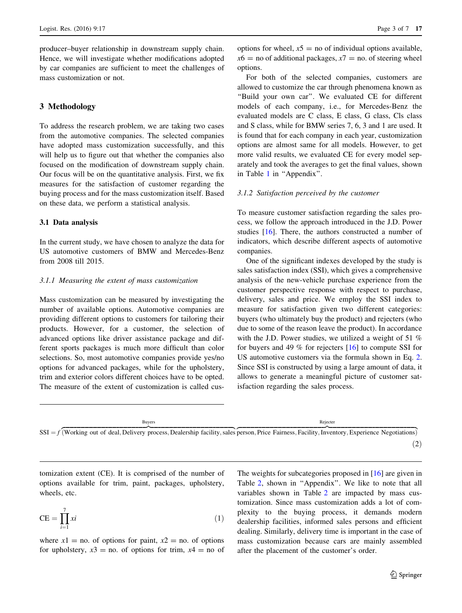<span id="page-2-0"></span>producer–buyer relationship in downstream supply chain. Hence, we will investigate whether modifications adopted by car companies are sufficient to meet the challenges of mass customization or not.

# 3 Methodology

To address the research problem, we are taking two cases from the automotive companies. The selected companies have adopted mass customization successfully, and this will help us to figure out that whether the companies also focused on the modification of downstream supply chain. Our focus will be on the quantitative analysis. First, we fix measures for the satisfaction of customer regarding the buying process and for the mass customization itself. Based on these data, we perform a statistical analysis.

### 3.1 Data analysis

In the current study, we have chosen to analyze the data for US automotive customers of BMW and Mercedes-Benz from 2008 till 2015.

#### 3.1.1 Measuring the extent of mass customization

Mass customization can be measured by investigating the number of available options. Automotive companies are providing different options to customers for tailoring their products. However, for a customer, the selection of advanced options like driver assistance package and different sports packages is much more difficult than color selections. So, most automotive companies provide yes/no options for advanced packages, while for the upholstery, trim and exterior colors different choices have to be opted. The measure of the extent of customization is called cusoptions for wheel,  $x5 =$  no of individual options available,  $x6 =$  no of additional packages,  $x7 =$  no. of steering wheel options.

For both of the selected companies, customers are allowed to customize the car through phenomena known as ''Build your own car''. We evaluated CE for different models of each company, i.e., for Mercedes-Benz the evaluated models are C class, E class, G class, Cls class and S class, while for BMW series 7, 6, 3 and 1 are used. It is found that for each company in each year, customization options are almost same for all models. However, to get more valid results, we evaluated CE for every model separately and took the averages to get the final values, shown in Table [1](#page-5-0) in ''Appendix''.

#### 3.1.2 Satisfaction perceived by the customer

To measure customer satisfaction regarding the sales process, we follow the approach introduced in the J.D. Power studies [[16](#page-6-0)]. There, the authors constructed a number of indicators, which describe different aspects of automotive companies.

One of the significant indexes developed by the study is sales satisfaction index (SSI), which gives a comprehensive analysis of the new-vehicle purchase experience from the customer perspective response with respect to purchase, delivery, sales and price. We employ the SSI index to measure for satisfaction given two different categories: buyers (who ultimately buy the product) and rejecters (who due to some of the reason leave the product). In accordance with the J.D. Power studies, we utilized a weight of 51 % for buyers and 49 % for rejecters [\[16](#page-6-0)] to compute SSI for US automotive customers via the formula shown in Eq. 2. Since SSI is constructed by using a large amount of data, it allows to generate a meaningful picture of customer satisfaction regarding the sales process.

 $\frac{Buyers}{SSI = f}$  (Working out of deal, Delivery process, Dealership facility, sales person, Price Fairness, Facility, Inventory, Experience Negotiations) Buyers

 $(2)$ 

tomization extent (CE). It is comprised of the number of options available for trim, paint, packages, upholstery, wheels, etc.

$$
CE = \prod_{i=1}^{7} xi
$$
 (1)

where  $x1 =$  no. of options for paint,  $x2 =$  no. of options for upholstery,  $x3 =$  no. of options for trim,  $x4 =$  no of

The weights for subcategories proposed in [\[16](#page-6-0)] are given in Table [2](#page-5-0), shown in ''Appendix''. We like to note that all variables shown in Table [2](#page-5-0) are impacted by mass customization. Since mass customization adds a lot of complexity to the buying process, it demands modern dealership facilities, informed sales persons and efficient dealing. Similarly, delivery time is important in the case of mass customization because cars are mainly assembled after the placement of the customer's order.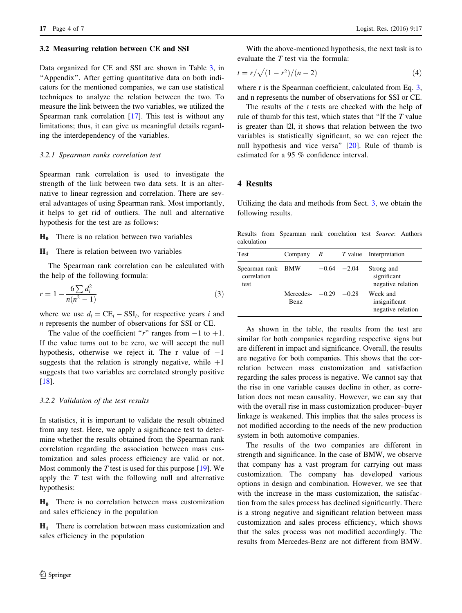#### <span id="page-3-0"></span>3.2 Measuring relation between CE and SSI

Data organized for CE and SSI are shown in Table [3,](#page-5-0) in ''Appendix''. After getting quantitative data on both indicators for the mentioned companies, we can use statistical techniques to analyze the relation between the two. To measure the link between the two variables, we utilized the Spearman rank correlation  $[17]$  $[17]$ . This test is without any limitations; thus, it can give us meaningful details regarding the interdependency of the variables.

### 3.2.1 Spearman ranks correlation test

Spearman rank correlation is used to investigate the strength of the link between two data sets. It is an alternative to linear regression and correlation. There are several advantages of using Spearman rank. Most importantly, it helps to get rid of outliers. The null and alternative hypothesis for the test are as follows:

### $H_0$  There is no relation between two variables

#### $H_1$  There is relation between two variables

The Spearman rank correlation can be calculated with the help of the following formula:

$$
r = 1 - \frac{6\sum d_i^2}{n(n^2 - 1)}\tag{3}
$$

where we use  $d_i = \text{CE}_i - \text{SSI}_i$ , for respective years i and n represents the number of observations for SSI or CE.

The value of the coefficient "r" ranges from  $-1$  to  $+1$ . If the value turns out to be zero, we will accept the null hypothesis, otherwise we reject it. The r value of  $-1$ suggests that the relation is strongly negative, while  $+1$ suggests that two variables are correlated strongly positive [\[18](#page-6-0)].

### 3.2.2 Validation of the test results

In statistics, it is important to validate the result obtained from any test. Here, we apply a significance test to determine whether the results obtained from the Spearman rank correlation regarding the association between mass customization and sales process efficiency are valid or not. Most commonly the  $T$  test is used for this purpose [[19\]](#page-6-0). We apply the  $T$  test with the following null and alternative hypothesis:

 $H_0$  There is no correlation between mass customization and sales efficiency in the population

 $H_1$  There is correlation between mass customization and sales efficiency in the population

$$
t = r/\sqrt{(1 - r^2)/(n - 2)}
$$
 (4)

where r is the Spearman coefficient, calculated from Eq. 3, and n represents the number of observations for SSI or CE.

The results of the  $t$  tests are checked with the help of rule of thumb for this test, which states that ''If the T value is greater than |2|, it shows that relation between the two variables is statistically significant, so we can reject the null hypothesis and vice versa'' [[20\]](#page-6-0). Rule of thumb is estimated for a 95 % confidence interval.

## 4 Results

Utilizing the data and methods from Sect. [3](#page-2-0), we obtain the following results.

Results from Spearman rank correlation test Source: Authors calculation

| Test                                     | Company                                  | $\mathbb{R}$ |                 | <i>T</i> value Interpretation                  |
|------------------------------------------|------------------------------------------|--------------|-----------------|------------------------------------------------|
| Spearman rank BMW<br>correlation<br>test |                                          |              | $-0.64$ $-2.04$ | Strong and<br>significant<br>negative relation |
|                                          | Mercedes- $-0.29$ $-0.28$<br><b>Benz</b> |              |                 | Week and<br>insignificant<br>negative relation |

As shown in the table, the results from the test are similar for both companies regarding respective signs but are different in impact and significance. Overall, the results are negative for both companies. This shows that the correlation between mass customization and satisfaction regarding the sales process is negative. We cannot say that the rise in one variable causes decline in other, as correlation does not mean causality. However, we can say that with the overall rise in mass customization producer–buyer linkage is weakened. This implies that the sales process is not modified according to the needs of the new production system in both automotive companies.

The results of the two companies are different in strength and significance. In the case of BMW, we observe that company has a vast program for carrying out mass customization. The company has developed various options in design and combination. However, we see that with the increase in the mass customization, the satisfaction from the sales process has declined significantly. There is a strong negative and significant relation between mass customization and sales process efficiency, which shows that the sales process was not modified accordingly. The results from Mercedes-Benz are not different from BMW.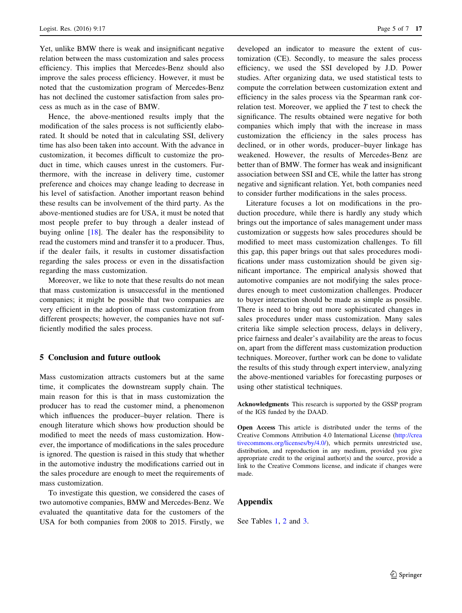<span id="page-4-0"></span>Yet, unlike BMW there is weak and insignificant negative relation between the mass customization and sales process efficiency. This implies that Mercedes-Benz should also improve the sales process efficiency. However, it must be noted that the customization program of Mercedes-Benz has not declined the customer satisfaction from sales process as much as in the case of BMW.

Hence, the above-mentioned results imply that the modification of the sales process is not sufficiently elaborated. It should be noted that in calculating SSI, delivery time has also been taken into account. With the advance in customization, it becomes difficult to customize the product in time, which causes unrest in the customers. Furthermore, with the increase in delivery time, customer preference and choices may change leading to decrease in his level of satisfaction. Another important reason behind these results can be involvement of the third party. As the above-mentioned studies are for USA, it must be noted that most people prefer to buy through a dealer instead of buying online [[18\]](#page-6-0). The dealer has the responsibility to read the customers mind and transfer it to a producer. Thus, if the dealer fails, it results in customer dissatisfaction regarding the sales process or even in the dissatisfaction regarding the mass customization.

Moreover, we like to note that these results do not mean that mass customization is unsuccessful in the mentioned companies; it might be possible that two companies are very efficient in the adoption of mass customization from different prospects; however, the companies have not sufficiently modified the sales process.

# 5 Conclusion and future outlook

Mass customization attracts customers but at the same time, it complicates the downstream supply chain. The main reason for this is that in mass customization the producer has to read the customer mind, a phenomenon which influences the producer–buyer relation. There is enough literature which shows how production should be modified to meet the needs of mass customization. However, the importance of modifications in the sales procedure is ignored. The question is raised in this study that whether in the automotive industry the modifications carried out in the sales procedure are enough to meet the requirements of mass customization.

To investigate this question, we considered the cases of two automotive companies, BMW and Mercedes-Benz. We evaluated the quantitative data for the customers of the USA for both companies from 2008 to 2015. Firstly, we

developed an indicator to measure the extent of customization (CE). Secondly, to measure the sales process efficiency, we used the SSI developed by J.D. Power studies. After organizing data, we used statistical tests to compute the correlation between customization extent and efficiency in the sales process via the Spearman rank correlation test. Moreover, we applied the  $T$  test to check the significance. The results obtained were negative for both companies which imply that with the increase in mass customization the efficiency in the sales process has declined, or in other words, producer–buyer linkage has weakened. However, the results of Mercedes-Benz are better than of BMW. The former has weak and insignificant association between SSI and CE, while the latter has strong negative and significant relation. Yet, both companies need to consider further modifications in the sales process.

Literature focuses a lot on modifications in the production procedure, while there is hardly any study which brings out the importance of sales management under mass customization or suggests how sales procedures should be modified to meet mass customization challenges. To fill this gap, this paper brings out that sales procedures modifications under mass customization should be given significant importance. The empirical analysis showed that automotive companies are not modifying the sales procedures enough to meet customization challenges. Producer to buyer interaction should be made as simple as possible. There is need to bring out more sophisticated changes in sales procedures under mass customization. Many sales criteria like simple selection process, delays in delivery, price fairness and dealer's availability are the areas to focus on, apart from the different mass customization production techniques. Moreover, further work can be done to validate the results of this study through expert interview, analyzing the above-mentioned variables for forecasting purposes or using other statistical techniques.

Acknowledgments This research is supported by the GSSP program of the IGS funded by the DAAD.

Open Access This article is distributed under the terms of the Creative Commons Attribution 4.0 International License ([http://crea](http://creativecommons.org/licenses/by/4.0/) [tivecommons.org/licenses/by/4.0/\)](http://creativecommons.org/licenses/by/4.0/), which permits unrestricted use, distribution, and reproduction in any medium, provided you give appropriate credit to the original author(s) and the source, provide a link to the Creative Commons license, and indicate if changes were made.

# Appendix

See Tables [1,](#page-5-0) [2](#page-5-0) and [3.](#page-5-0)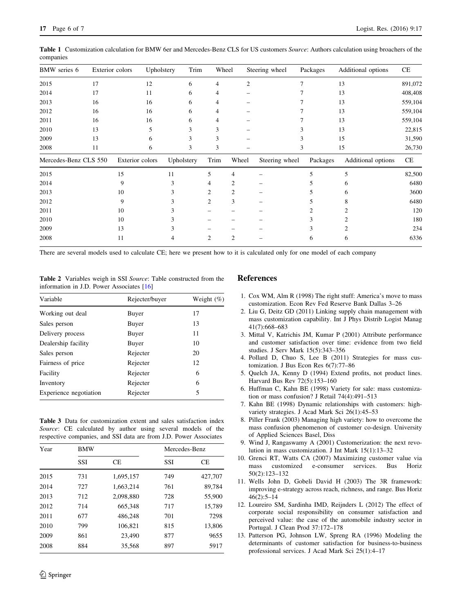| BMW series 6          |    | Exterior colors | Upholstery | Trim       | Wheel          |                | Steering wheel |   | Packages | Additional options | CE        |
|-----------------------|----|-----------------|------------|------------|----------------|----------------|----------------|---|----------|--------------------|-----------|
| 2015                  | 17 |                 | 12         | 6          | $\overline{4}$ | $\overline{c}$ |                | 7 |          | 13                 | 891,072   |
| 2014                  | 17 |                 | 11         | 6          | 4              |                |                |   |          | 13                 | 408,408   |
| 2013                  | 16 |                 | 16         | 6          | 4              |                |                |   |          | 13                 | 559,104   |
| 2012                  | 16 |                 | 16         | 6          | 4              |                |                |   |          | 13                 | 559,104   |
| 2011                  | 16 |                 | 16         | 6          | 4              |                |                |   |          | 13                 | 559,104   |
| 2010                  | 13 |                 | 5          | 3          | 3              |                |                | 3 |          | 13                 | 22,815    |
| 2009                  | 13 |                 | 6          | 3          | 3              |                |                | 3 |          | 15                 | 31,590    |
| 2008                  | 11 |                 | 6          | 3          | 3              |                |                | 3 |          | 15                 | 26,730    |
| Mercedes-Benz CLS 550 |    | Exterior colors |            | Upholstery | Trim           | Wheel          | Steering wheel |   | Packages | Additional options | $\!$ $\!$ |
| 2015                  |    | 15              |            | 11         | 5              | 4              |                |   | 5        | 5                  | 82,500    |
| 2014                  |    | 9               |            | 3          | 4              | $\overline{c}$ |                |   |          | 6                  | 6480      |
| 2013                  |    | 10              |            | 3          | $\overline{c}$ | $\overline{c}$ |                |   | 5        | 6                  | 3600      |
| 2012                  |    | 9               |            | 3          | $\overline{c}$ | 3              |                |   |          | 8                  | 6480      |
| 2011                  |    | 10              |            | 3          |                |                |                |   | 2        |                    | 120       |
| 2010                  |    | 10              |            | 3          |                |                |                |   | 3        |                    | 180       |
| 2009                  |    | 13              |            | 3          |                |                |                |   | 3        | 2                  | 234       |
| 2008                  |    | 11              |            | 4          | 2              | 2              |                |   | 6        | 6                  | 6336      |

<span id="page-5-0"></span>Table 1 Customization calculation for BMW 6er and Mercedes-Benz CLS for US customers Source: Authors calculation using broachers of the companies

There are several models used to calculate CE; here we present how to it is calculated only for one model of each company

Table 2 Variables weigh in SSI Source: Table constructed from the information in J.D. Power Associates [\[16\]](#page-6-0)

| Variable               | Rejecter/buyer | Weight $(\%)$ |  |
|------------------------|----------------|---------------|--|
| Working out deal       | Buyer          | 17            |  |
| Sales person           | Buyer          | 13            |  |
| Delivery process       | Buyer          | 11            |  |
| Dealership facility    | Buyer          | 10            |  |
| Sales person           | Rejecter       | 20            |  |
| Fairness of price      | Rejecter       | 12            |  |
| Facility               | Rejecter       | 6             |  |
| Inventory              | Rejecter       | 6             |  |
| Experience negotiation | Rejecter       | 5             |  |

Table 3 Data for customization extent and sales satisfaction index Source: CE calculated by author using several models of the respective companies, and SSI data are from J.D. Power Associates

| Year | <b>BMW</b> |           | Mercedes-Benz |         |  |
|------|------------|-----------|---------------|---------|--|
|      | SSI        | CE.       | SSI           | CE.     |  |
| 2015 | 731        | 1,695,157 | 749           | 427,707 |  |
| 2014 | 727        | 1,663,214 | 761           | 89.784  |  |
| 2013 | 712        | 2.098.880 | 728           | 55,900  |  |
| 2012 | 714        | 665,348   | 717           | 15,789  |  |
| 2011 | 677        | 486,248   | 701           | 7298    |  |
| 2010 | 799        | 106.821   | 815           | 13.806  |  |
| 2009 | 861        | 23.490    | 877           | 9655    |  |
| 2008 | 884        | 35,568    | 897           | 5917    |  |

# References

- 1. Cox WM, Alm R (1998) The right stuff: America's move to mass customization. Econ Rev Fed Reserve Bank Dallas 3–26
- 2. Liu G, Deitz GD (2011) Linking supply chain management with mass customization capability. Int J Phys Distrib Logist Manag 41(7):668–683
- 3. Mittal V, Katrichis JM, Kumar P (2001) Attribute performance and customer satisfaction over time: evidence from two field studies. J Serv Mark 15(5):343–356
- 4. Pollard D, Chuo S, Lee B (2011) Strategies for mass customization. J Bus Econ Res 6(7):77–86
- 5. Quelch JA, Kenny D (1994) Extend profits, not product lines. Harvard Bus Rev 72(5):153–160
- 6. Huffman C, Kahn BE (1998) Variety for sale: mass customization or mass confusion? J Retail 74(4):491–513
- 7. Kahn BE (1998) Dynamic relationships with customers: highvariety strategies. J Acad Mark Sci 26(1):45–53
- 8. Piller Frank (2003) Managing high variety: how to overcome the mass confusion phenomenon of customer co-design. University of Applied Sciences Basel, Diss
- 9. Wind J, Rangaswamy A (2001) Customerization: the next revolution in mass customization. J Int Mark 15(1):13–32
- 10. Grenci RT, Watts CA (2007) Maximizing customer value via mass customized e-consumer services. Bus Horiz 50(2):123–132
- 11. Wells John D, Gobeli David H (2003) The 3R framework: improving e-strategy across reach, richness, and range. Bus Horiz  $46(2):5-14$
- 12. Loureiro SM, Sardinha IMD, Reijnders L (2012) The effect of corporate social responsibility on consumer satisfaction and perceived value: the case of the automobile industry sector in Portugal. J Clean Prod 37:172–178
- 13. Patterson PG, Johnson LW, Spreng RA (1996) Modeling the determinants of customer satisfaction for business-to-business professional services. J Acad Mark Sci 25(1):4–17